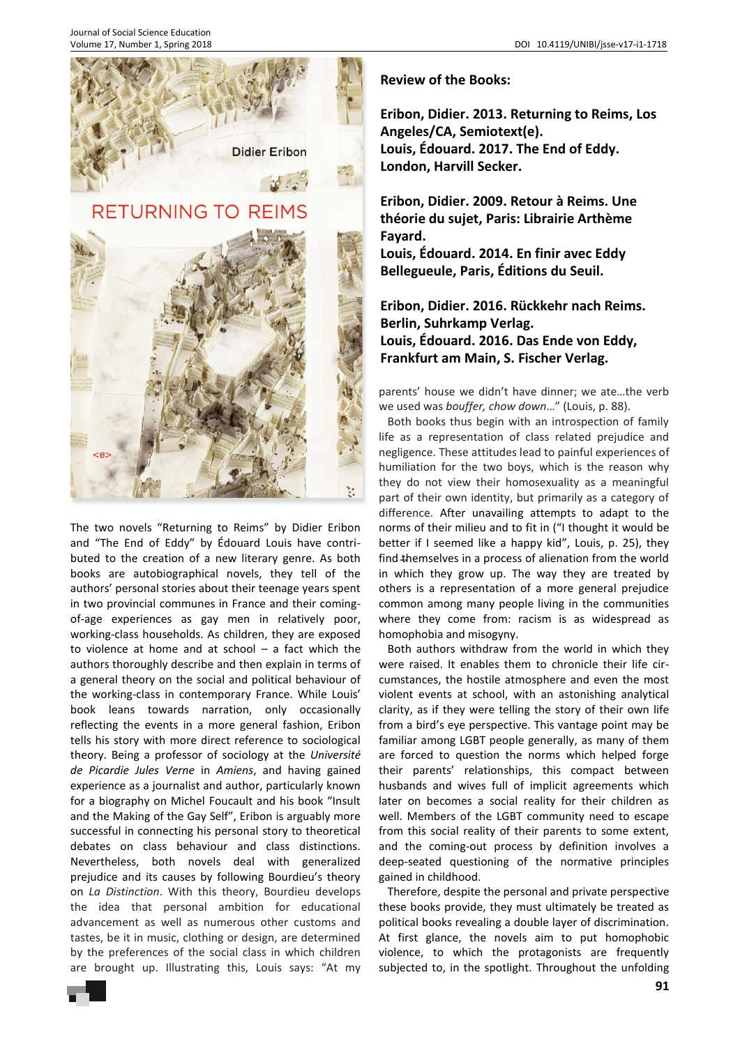

The two novels "Returning to Reims" by Didier Eribon and "The End of Eddy" by Édouard Louis have contributed to the creation of a new literary genre. As both books are autobiographical novels, they tell of the authors' personal stories about their teenage years spent in two provincial communes in France and their comingof-age experiences as gay men in relatively poor, working-class households. As children, they are exposed to violence at home and at school – a fact which the authors thoroughly describe and then explain in terms of a general theory on the social and political behaviour of the working-class in contemporary France. While Louis' book leans towards narration, only occasionally reflecting the events in a more general fashion, Eribon tells his story with more direct reference to sociological theory. Being a professor of sociology at the *Université de Picardie Jules Verne* in *Amiens*, and having gained experience as a journalist and author, particularly known for a biography on Michel Foucault and his book "Insult and the Making of the Gay Self", Eribon is arguably more successful in connecting his personal story to theoretical debates on class behaviour and class distinctions. Nevertheless, both novels deal with generalized prejudice and its causes by following Bourdieu's theory on *La Distinction*. With this theory, Bourdieu develops the idea that personal ambition for educational advancement as well as numerous other customs and tastes, be it in music, clothing or design, are determined by the preferences of the social class in which children are brought up. Illustrating this, Louis says: "At my

**Review of the Books:** 

**Eribon, Didier. 2013. Returning to Reims, Los Angeles/CA, Semiotext(e). Louis, Édouard. 2017. The End of Eddy. London, Harvill Secker.** 

**Eribon, Didier. 2009. Retour à Reims. Une théorie du sujet, Paris: Librairie Arthème Fayard.**

**Louis, Édouard. 2014. En finir avec Eddy Bellegueule, Paris, Éditions du Seuil.** 

**Eribon, Didier. 2016. Rückkehr nach Reims. Berlin, Suhrkamp Verlag. Louis, Édouard. 2016. Das Ende von Eddy, Frankfurt am Main, S. Fischer Verlag.** 

parents' house we didn't have dinner; we ate…the verb we used was *bouffer, chow down*…" (Louis, p. 88).

find themselves in a process of alienation from the world Both books thus begin with an introspection of family life as a representation of class related prejudice and negligence. These attitudes lead to painful experiences of humiliation for the two boys, which is the reason why they do not view their homosexuality as a meaningful part of their own identity, but primarily as a category of difference. After unavailing attempts to adapt to the norms of their milieu and to fit in ("I thought it would be better if I seemed like a happy kid", Louis, p. 25), they in which they grow up. The way they are treated by others is a representation of a more general prejudice common among many people living in the communities where they come from: racism is as widespread as homophobia and misogyny.

Both authors withdraw from the world in which they were raised. It enables them to chronicle their life circumstances, the hostile atmosphere and even the most violent events at school, with an astonishing analytical clarity, as if they were telling the story of their own life from a bird's eye perspective. This vantage point may be familiar among LGBT people generally, as many of them are forced to question the norms which helped forge their parents' relationships, this compact between husbands and wives full of implicit agreements which later on becomes a social reality for their children as well. Members of the LGBT community need to escape from this social reality of their parents to some extent, and the coming-out process by definition involves a deep-seated questioning of the normative principles gained in childhood.

Therefore, despite the personal and private perspective these books provide, they must ultimately be treated as political books revealing a double layer of discrimination. At first glance, the novels aim to put homophobic violence, to which the protagonists are frequently subjected to, in the spotlight. Throughout the unfolding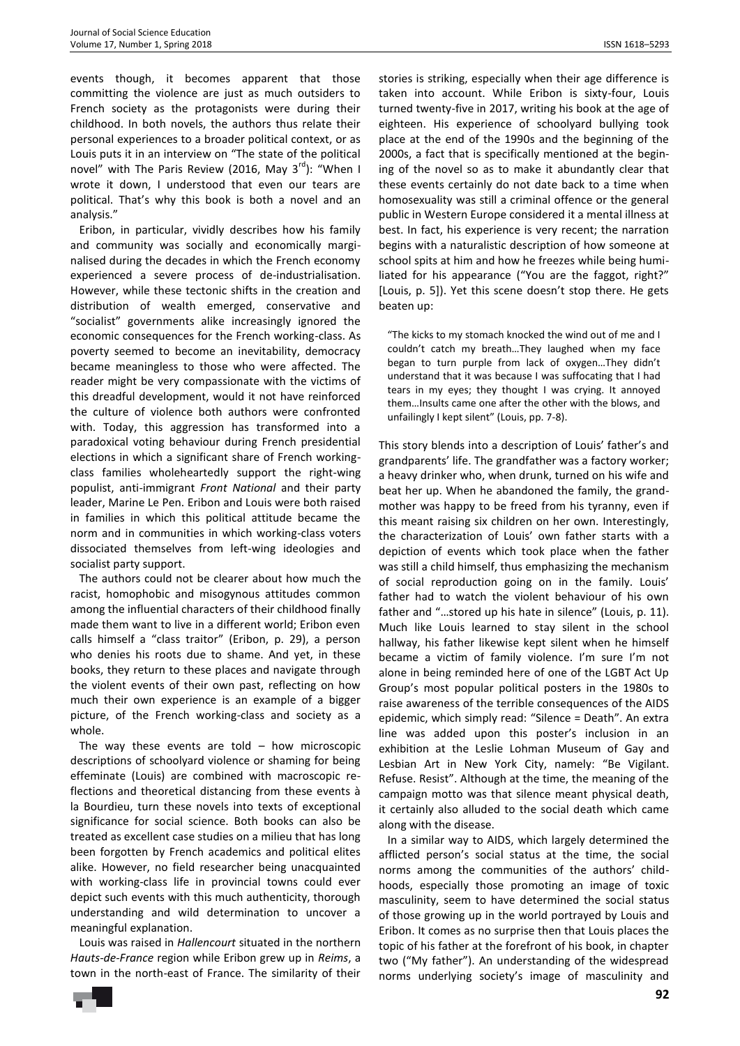events though, it becomes apparent that those committing the violence are just as much outsiders to French society as the protagonists were during their childhood. In both novels, the authors thus relate their personal experiences to a broader political context, or as Louis puts it in an interview on "The state of the political novel" with The Paris Review (2016, May  $3^{rd}$ ): "When I wrote it down, I understood that even our tears are political. That's why this book is both a novel and an analysis."

Eribon, in particular, vividly describes how his family and community was socially and economically marginalised during the decades in which the French economy experienced a severe process of de-industrialisation. However, while these tectonic shifts in the creation and distribution of wealth emerged, conservative and "socialist" governments alike increasingly ignored the economic consequences for the French working-class. As poverty seemed to become an inevitability, democracy became meaningless to those who were affected. The reader might be very compassionate with the victims of this dreadful development, would it not have reinforced the culture of violence both authors were confronted with. Today, this aggression has transformed into a paradoxical voting behaviour during French presidential elections in which a significant share of French workingclass families wholeheartedly support the right-wing populist, anti-immigrant *Front National* and their party leader, Marine Le Pen. Eribon and Louis were both raised in families in which this political attitude became the norm and in communities in which working-class voters dissociated themselves from left-wing ideologies and socialist party support.

The authors could not be clearer about how much the racist, homophobic and misogynous attitudes common among the influential characters of their childhood finally made them want to live in a different world; Eribon even calls himself a "class traitor" (Eribon, p. 29), a person who denies his roots due to shame. And yet, in these books, they return to these places and navigate through the violent events of their own past, reflecting on how much their own experience is an example of a bigger picture, of the French working-class and society as a whole.

The way these events are told  $-$  how microscopic descriptions of schoolyard violence or shaming for being effeminate (Louis) are combined with macroscopic reflections and theoretical distancing from these events à la Bourdieu, turn these novels into texts of exceptional significance for social science. Both books can also be treated as excellent case studies on a milieu that has long been forgotten by French academics and political elites alike. However, no field researcher being unacquainted with working-class life in provincial towns could ever depict such events with this much authenticity, thorough understanding and wild determination to uncover a meaningful explanation.

Louis was raised in *Hallencourt* situated in the northern *Hauts-de-France* region while Eribon grew up in *Reims*, a town in the north-east of France. The similarity of their stories is striking, especially when their age difference is taken into account. While Eribon is sixty-four, Louis turned twenty-five in 2017, writing his book at the age of eighteen. His experience of schoolyard bullying took place at the end of the 1990s and the beginning of the 2000s, a fact that is specifically mentioned at the begining of the novel so as to make it abundantly clear that these events certainly do not date back to a time when homosexuality was still a criminal offence or the general public in Western Europe considered it a mental illness at best. In fact, his experience is very recent; the narration begins with a naturalistic description of how someone at school spits at him and how he freezes while being humiliated for his appearance ("You are the faggot, right?" [Louis, p. 5]). Yet this scene doesn't stop there. He gets beaten up:

"The kicks to my stomach knocked the wind out of me and I couldn't catch my breath…They laughed when my face began to turn purple from lack of oxygen…They didn't understand that it was because I was suffocating that I had tears in my eyes; they thought I was crying. It annoyed them…Insults came one after the other with the blows, and unfailingly I kept silent" (Louis, pp. 7-8).

This story blends into a description of Louis' father's and grandparents' life. The grandfather was a factory worker; a heavy drinker who, when drunk, turned on his wife and beat her up. When he abandoned the family, the grandmother was happy to be freed from his tyranny, even if this meant raising six children on her own. Interestingly, the characterization of Louis' own father starts with a depiction of events which took place when the father was still a child himself, thus emphasizing the mechanism of social reproduction going on in the family. Louis' father had to watch the violent behaviour of his own father and "…stored up his hate in silence" (Louis, p. 11). Much like Louis learned to stay silent in the school hallway, his father likewise kept silent when he himself became a victim of family violence. I'm sure I'm not alone in being reminded here of one of the LGBT Act Up Group's most popular political posters in the 1980s to raise awareness of the terrible consequences of the AIDS epidemic, which simply read: "Silence = Death". An extra line was added upon this poster's inclusion in an exhibition at the Leslie Lohman Museum of Gay and Lesbian Art in New York City, namely: "Be Vigilant. Refuse. Resist". Although at the time, the meaning of the campaign motto was that silence meant physical death, it certainly also alluded to the social death which came along with the disease.

In a similar way to AIDS, which largely determined the afflicted person's social status at the time, the social norms among the communities of the authors' childhoods, especially those promoting an image of toxic masculinity, seem to have determined the social status of those growing up in the world portrayed by Louis and Eribon. It comes as no surprise then that Louis places the topic of his father at the forefront of his book, in chapter two ("My father"). An understanding of the widespread norms underlying society's image of masculinity and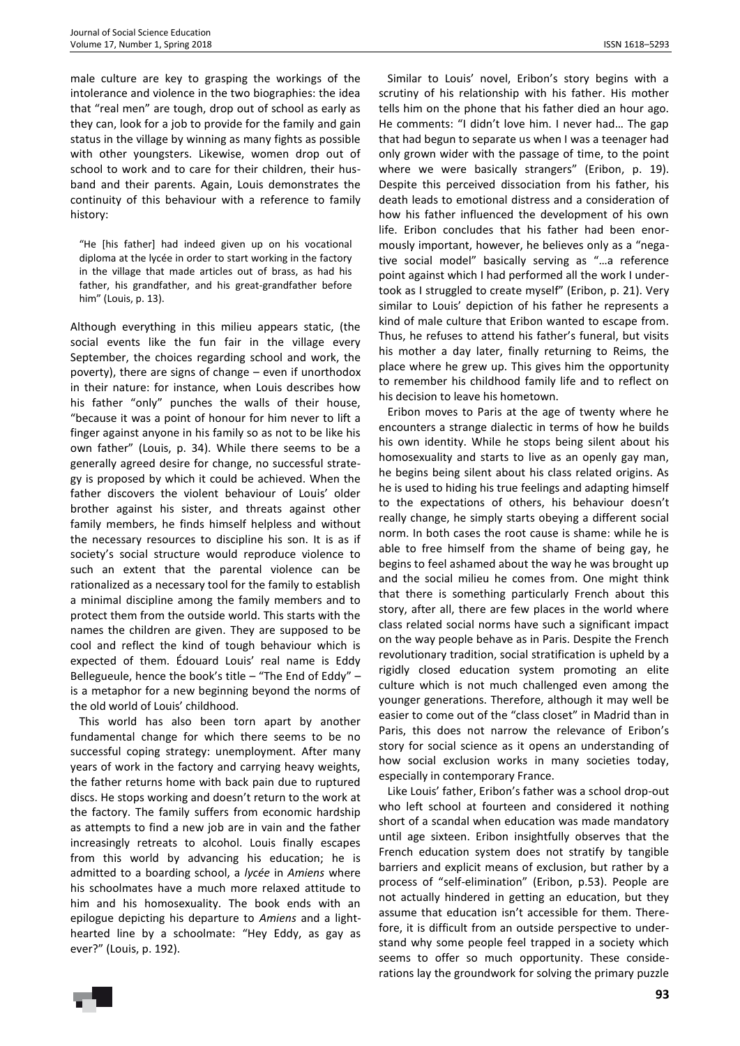male culture are key to grasping the workings of the intolerance and violence in the two biographies: the idea that "real men" are tough, drop out of school as early as they can, look for a job to provide for the family and gain status in the village by winning as many fights as possible with other youngsters. Likewise, women drop out of school to work and to care for their children, their husband and their parents. Again, Louis demonstrates the continuity of this behaviour with a reference to family history:

"He [his father] had indeed given up on his vocational diploma at the lycée in order to start working in the factory in the village that made articles out of brass, as had his father, his grandfather, and his great-grandfather before him" (Louis, p. 13).

Although everything in this milieu appears static, (the social events like the fun fair in the village every September, the choices regarding school and work, the poverty), there are signs of change – even if unorthodox in their nature: for instance, when Louis describes how his father "only" punches the walls of their house, "because it was a point of honour for him never to lift a finger against anyone in his family so as not to be like his own father" (Louis, p. 34). While there seems to be a generally agreed desire for change, no successful strategy is proposed by which it could be achieved. When the father discovers the violent behaviour of Louis' older brother against his sister, and threats against other family members, he finds himself helpless and without the necessary resources to discipline his son. It is as if society's social structure would reproduce violence to such an extent that the parental violence can be rationalized as a necessary tool for the family to establish a minimal discipline among the family members and to protect them from the outside world. This starts with the names the children are given. They are supposed to be cool and reflect the kind of tough behaviour which is expected of them. Édouard Louis' real name is Eddy Bellegueule, hence the book's title – "The End of Eddy" – is a metaphor for a new beginning beyond the norms of the old world of Louis' childhood.

This world has also been torn apart by another fundamental change for which there seems to be no successful coping strategy: unemployment. After many years of work in the factory and carrying heavy weights, the father returns home with back pain due to ruptured discs. He stops working and doesn't return to the work at the factory. The family suffers from economic hardship as attempts to find a new job are in vain and the father increasingly retreats to alcohol. Louis finally escapes from this world by advancing his education; he is admitted to a boarding school, a *lycée* in *Amiens* where his schoolmates have a much more relaxed attitude to him and his homosexuality. The book ends with an epilogue depicting his departure to *Amiens* and a lighthearted line by a schoolmate: "Hey Eddy, as gay as ever?" (Louis, p. 192).

Similar to Louis' novel, Eribon's story begins with a scrutiny of his relationship with his father. His mother tells him on the phone that his father died an hour ago. He comments: "I didn't love him. I never had… The gap that had begun to separate us when I was a teenager had only grown wider with the passage of time, to the point where we were basically strangers" (Eribon, p. 19). Despite this perceived dissociation from his father, his death leads to emotional distress and a consideration of how his father influenced the development of his own life. Eribon concludes that his father had been enormously important, however, he believes only as a "negative social model" basically serving as "…a reference point against which I had performed all the work I undertook as I struggled to create myself" (Eribon, p. 21). Very similar to Louis' depiction of his father he represents a kind of male culture that Eribon wanted to escape from. Thus, he refuses to attend his father's funeral, but visits his mother a day later, finally returning to Reims, the place where he grew up. This gives him the opportunity to remember his childhood family life and to reflect on his decision to leave his hometown.

Eribon moves to Paris at the age of twenty where he encounters a strange dialectic in terms of how he builds his own identity. While he stops being silent about his homosexuality and starts to live as an openly gay man, he begins being silent about his class related origins. As he is used to hiding his true feelings and adapting himself to the expectations of others, his behaviour doesn't really change, he simply starts obeying a different social norm. In both cases the root cause is shame: while he is able to free himself from the shame of being gay, he begins to feel ashamed about the way he was brought up and the social milieu he comes from. One might think that there is something particularly French about this story, after all, there are few places in the world where class related social norms have such a significant impact on the way people behave as in Paris. Despite the French revolutionary tradition, social stratification is upheld by a rigidly closed education system promoting an elite culture which is not much challenged even among the younger generations. Therefore, although it may well be easier to come out of the "class closet" in Madrid than in Paris, this does not narrow the relevance of Eribon's story for social science as it opens an understanding of how social exclusion works in many societies today, especially in contemporary France.

Like Louis' father, Eribon's father was a school drop-out who left school at fourteen and considered it nothing short of a scandal when education was made mandatory until age sixteen. Eribon insightfully observes that the French education system does not stratify by tangible barriers and explicit means of exclusion, but rather by a process of "self-elimination" (Eribon, p.53). People are not actually hindered in getting an education, but they assume that education isn't accessible for them. Therefore, it is difficult from an outside perspective to understand why some people feel trapped in a society which seems to offer so much opportunity. These considerations lay the groundwork for solving the primary puzzle